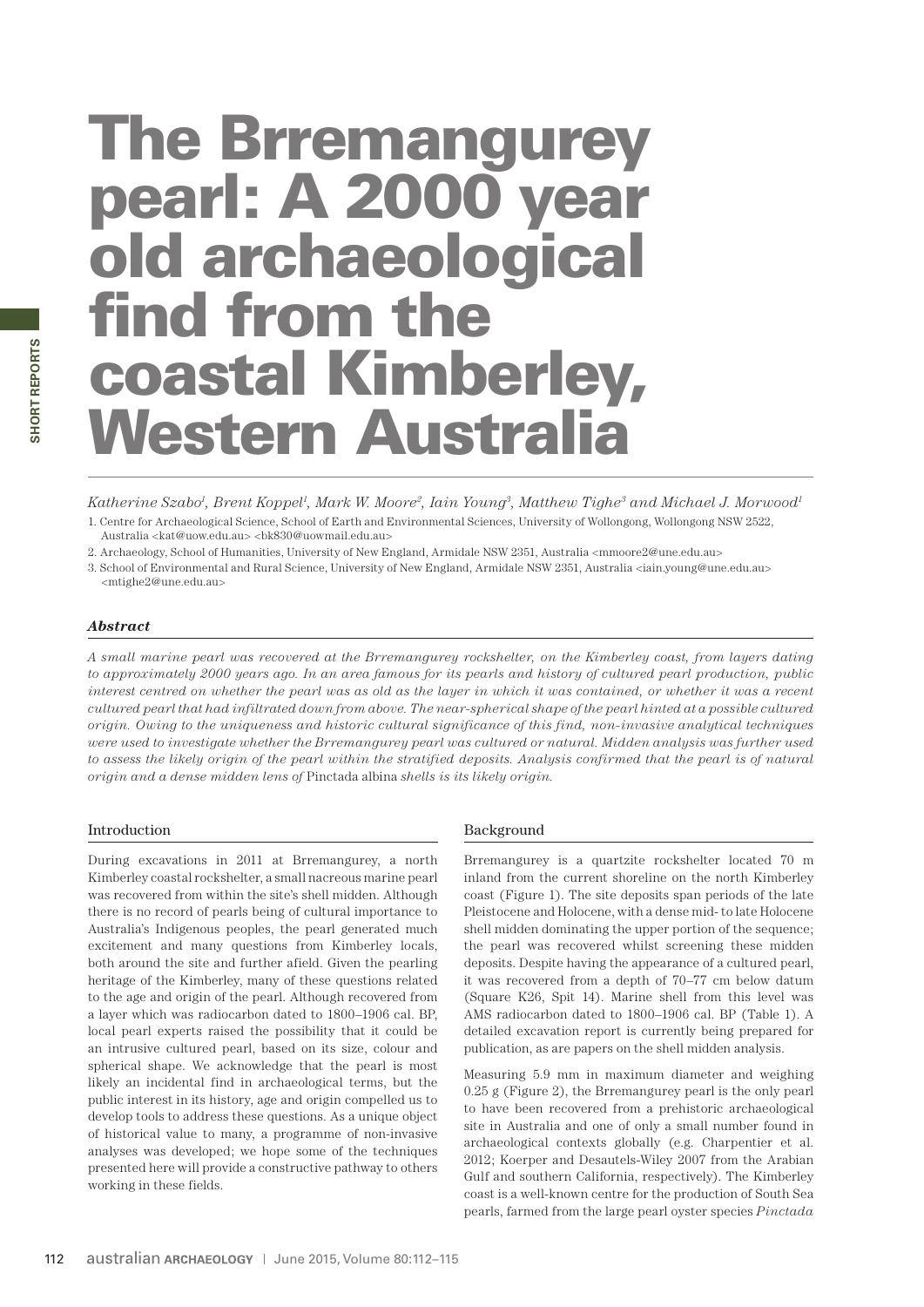# The Brremangurey pearl: A 2000 year old archaeological find from the coastal Kimberley, Western Australia

*Katherine Szabo1 , Brent Koppel1 , Mark W. Moore2, Iain Young3, Matthew Tighe3 and Michael J. Morwood1*

1. Centre for Archaeological Science, School of Earth and Environmental Sciences, University of Wollongong, Wollongong NSW 2522, Australia <kat@uow.edu.au> <bk830@uowmail.edu.au>

2. Archaeology, School of Humanities, University of New England, Armidale NSW 2351, Australia <mmoore2@une.edu.au>

3. School of Environmental and Rural Science, University of New England, Armidale NSW 2351, Australia <iain.young@une.edu.au> <mtighe2@une.edu.au>

# *Abstract*

*A small marine pearl was recovered at the Brremangurey rockshelter, on the Kimberley coast, from layers dating to approximately 2000 years ago. In an area famous for its pearls and history of cultured pearl production, public interest centred on whether the pearl was as old as the layer in which it was contained, or whether it was a recent cultured pearl that had infiltrated down from above. The near-spherical shape of the pearl hinted at a possible cultured origin. Owing to the uniqueness and historic cultural significance of this find, non-invasive analytical techniques were used to investigate whether the Brremangurey pearl was cultured or natural. Midden analysis was further used to assess the likely origin of the pearl within the stratified deposits. Analysis confirmed that the pearl is of natural origin and a dense midden lens of* Pinctada albina *shells is its likely origin.*

## Introduction

During excavations in 2011 at Brremangurey, a north Kimberley coastal rockshelter, a small nacreous marine pearl was recovered from within the site's shell midden. Although there is no record of pearls being of cultural importance to Australia's Indigenous peoples, the pearl generated much excitement and many questions from Kimberley locals, both around the site and further afield. Given the pearling heritage of the Kimberley, many of these questions related to the age and origin of the pearl. Although recovered from a layer which was radiocarbon dated to 1800–1906 cal. BP, local pearl experts raised the possibility that it could be an intrusive cultured pearl, based on its size, colour and spherical shape. We acknowledge that the pearl is most likely an incidental find in archaeological terms, but the public interest in its history, age and origin compelled us to develop tools to address these questions. As a unique object of historical value to many, a programme of non-invasive analyses was developed; we hope some of the techniques presented here will provide a constructive pathway to others working in these fields.

## Background

Brremangurey is a quartzite rockshelter located 70 m inland from the current shoreline on the north Kimberley coast (Figure 1). The site deposits span periods of the late Pleistocene and Holocene, with a dense mid- to late Holocene shell midden dominating the upper portion of the sequence; the pearl was recovered whilst screening these midden deposits. Despite having the appearance of a cultured pearl, it was recovered from a depth of 70–77 cm below datum (Square K26, Spit 14). Marine shell from this level was AMS radiocarbon dated to 1800–1906 cal. BP (Table 1). A detailed excavation report is currently being prepared for publication, as are papers on the shell midden analysis.

Measuring 5.9 mm in maximum diameter and weighing 0.25 g (Figure 2), the Brremangurey pearl is the only pearl to have been recovered from a prehistoric archaeological site in Australia and one of only a small number found in archaeological contexts globally (e.g. Charpentier et al. 2012; Koerper and Desautels-Wiley 2007 from the Arabian Gulf and southern California, respectively). The Kimberley coast is a well-known centre for the production of South Sea pearls, farmed from the large pearl oyster species *Pinctada*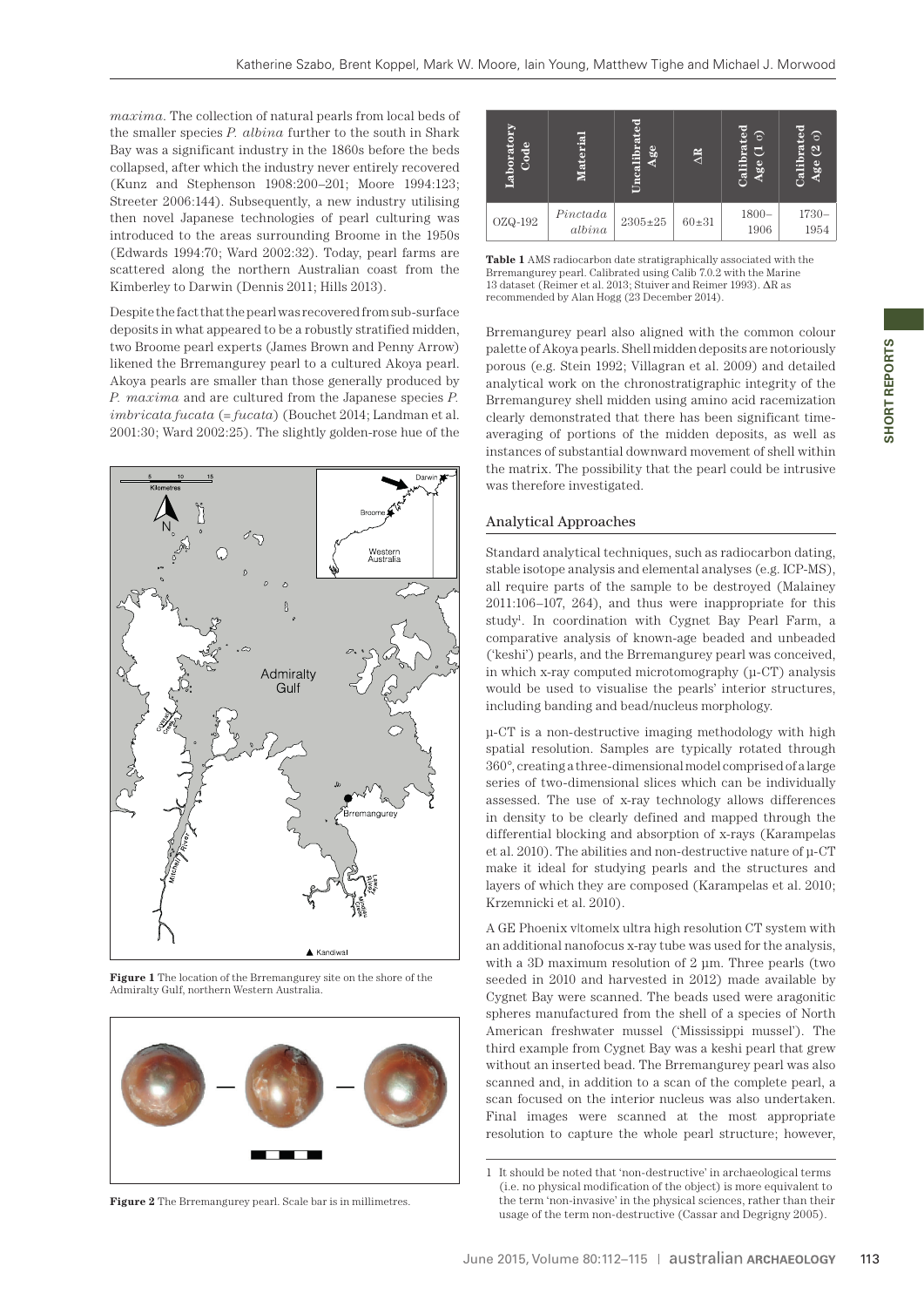*maxima*. The collection of natural pearls from local beds of the smaller species *P. albina* further to the south in Shark Bay was a significant industry in the 1860s before the beds collapsed, after which the industry never entirely recovered (Kunz and Stephenson 1908:200–201; Moore 1994:123; Streeter 2006:144). Subsequently, a new industry utilising then novel Japanese technologies of pearl culturing was introduced to the areas surrounding Broome in the 1950s (Edwards 1994:70; Ward 2002:32). Today, pearl farms are scattered along the northern Australian coast from the Kimberley to Darwin (Dennis 2011; Hills 2013).

Despite the fact that the pearl was recovered from sub-surface deposits in what appeared to be a robustly stratified midden, two Broome pearl experts (James Brown and Penny Arrow) likened the Brremangurey pearl to a cultured Akoya pearl. Akoya pearls are smaller than those generally produced by *P. maxima* and are cultured from the Japanese species *P. imbricata fucata* (= *fucata*) (Bouchet 2014; Landman et al. 2001:30; Ward 2002:25). The slightly golden-rose hue of the



**Figure 1** The location of the Brremangurey site on the shore of the Admiralty Gulf, northern Western Australia.



**Figure 2** The Brremangurey pearl. Scale bar is in millimetres.

| Ë<br>ode<br>aborat. | $\overline{a}$<br>∊ | r=<br>ā<br>calibrat<br>ge | $\Delta R$ | ᄝ<br>6<br>ē<br>⋴<br>alib<br><b>ge</b> | g m<br>Б<br>$\mathbf{S}$<br>$_{\rm Galibra}$<br>ee <sub>e</sub> |
|---------------------|---------------------|---------------------------|------------|---------------------------------------|-----------------------------------------------------------------|
| $OZQ-192$           | Pinctada<br>albina  | $2305 \pm 25$             | $60 + 31$  | $1800 -$<br>1906                      | $1730-$<br>1954                                                 |

**Table 1** AMS radiocarbon date stratigraphically associated with the Brremangurey pearl. Calibrated using Calib 7.0.2 with the Marine 13 dataset (Reimer et al. 2013; Stuiver and Reimer 1993). ΔR as recommended by Alan Hogg (23 December 2014).

Brremangurey pearl also aligned with the common colour palette of Akoya pearls. Shell midden deposits are notoriously porous (e.g. Stein 1992; Villagran et al. 2009) and detailed analytical work on the chronostratigraphic integrity of the Brremangurey shell midden using amino acid racemization clearly demonstrated that there has been significant timeaveraging of portions of the midden deposits, as well as instances of substantial downward movement of shell within the matrix. The possibility that the pearl could be intrusive was therefore investigated.

## Analytical Approaches

Standard analytical techniques, such as radiocarbon dating, stable isotope analysis and elemental analyses (e.g. ICP-MS), all require parts of the sample to be destroyed (Malainey 2011:106–107, 264), and thus were inappropriate for this study<sup>1</sup>. In coordination with Cygnet Bay Pearl Farm, a comparative analysis of known-age beaded and unbeaded ('keshi') pearls, and the Brremangurey pearl was conceived, in which x-ray computed microtomography (μ-CT) analysis would be used to visualise the pearls' interior structures, including banding and bead/nucleus morphology.

μ-CT is a non-destructive imaging methodology with high spatial resolution. Samples are typically rotated through 360°, creating a three-dimensional model comprised of a large series of two-dimensional slices which can be individually assessed. The use of x-ray technology allows differences in density to be clearly defined and mapped through the differential blocking and absorption of x-rays (Karampelas et al. 2010). The abilities and non-destructive nature of μ-CT make it ideal for studying pearls and the structures and layers of which they are composed (Karampelas et al. 2010; Krzemnicki et al. 2010).

A GE Phoenix v|tome|x ultra high resolution CT system with an additional nanofocus x-ray tube was used for the analysis, with a 3D maximum resolution of 2 μm. Three pearls (two seeded in 2010 and harvested in 2012) made available by Cygnet Bay were scanned. The beads used were aragonitic spheres manufactured from the shell of a species of North American freshwater mussel ('Mississippi mussel'). The third example from Cygnet Bay was a keshi pearl that grew without an inserted bead. The Brremangurey pearl was also scanned and, in addition to a scan of the complete pearl, a scan focused on the interior nucleus was also undertaken. Final images were scanned at the most appropriate resolution to capture the whole pearl structure; however, **EXAMPLE 18**<br> **EXAMPLE 18**<br> **EXAMPLE 18**<br> **EXAMPLE 18**<br> **EXAMPLE 18**<br> **EXAMPLE 18**<br> **EXAMPLE 18**<br> **EXAMPLE 18**<br> **EXAMPLE 18**<br> **EXAMPLE 18**<br> **EXAMPLE 18**<br> **EXAMPLE 18**<br> **EXAMPLE 18**<br> **EXAMPLE 18**<br> **EXAMPLE 18**<br> **EXAMPLE 18** 

<sup>1</sup> It should be noted that 'non-destructive' in archaeological terms (i.e. no physical modification of the object) is more equivalent to the term 'non-invasive' in the physical sciences, rather than their<br>usage of the term non-destructive (Cassar and Degrigny 2005).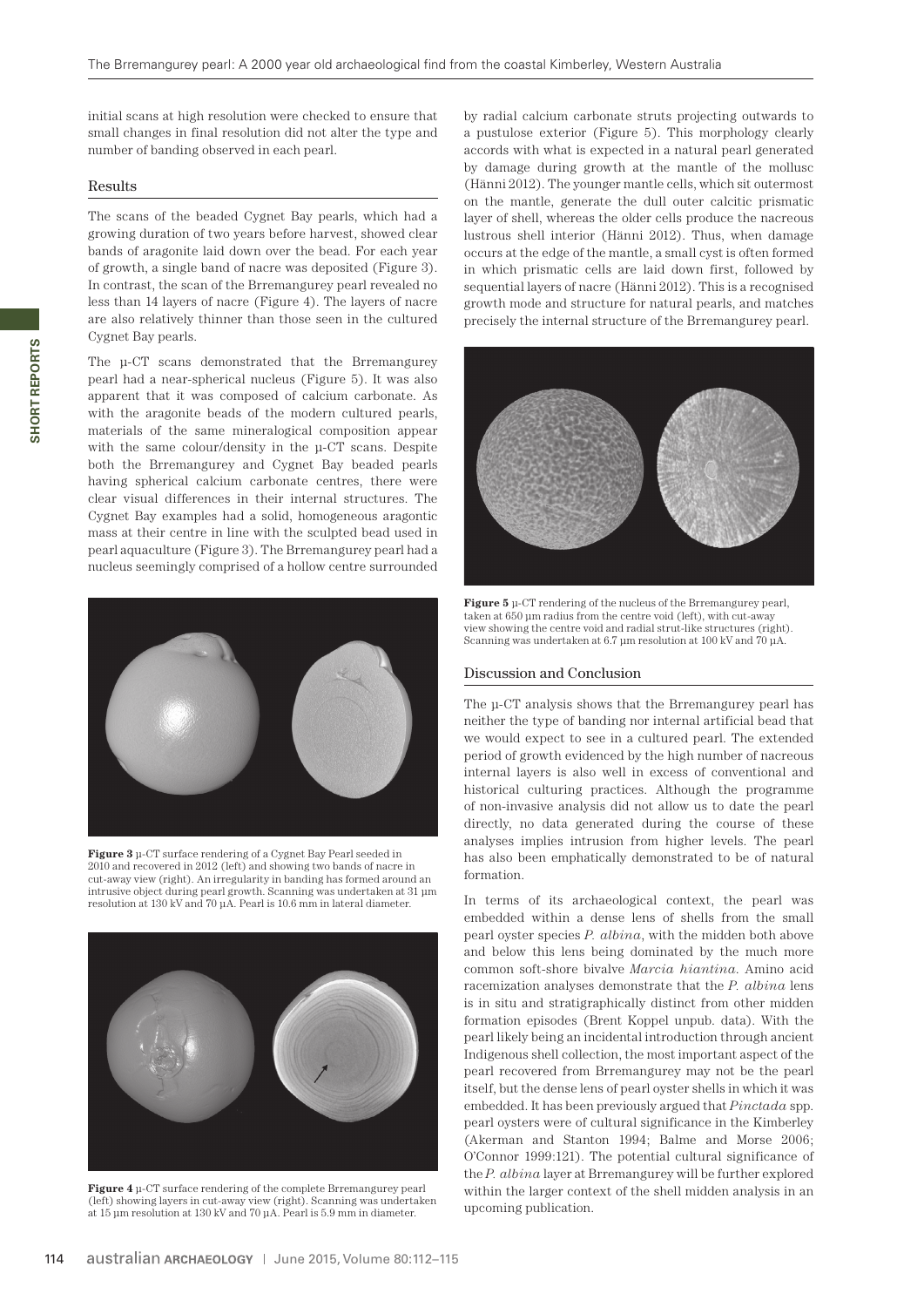initial scans at high resolution were checked to ensure that small changes in final resolution did not alter the type and number of banding observed in each pearl.

#### Results

The scans of the beaded Cygnet Bay pearls, which had a growing duration of two years before harvest, showed clear bands of aragonite laid down over the bead. For each year of growth, a single band of nacre was deposited (Figure 3). In contrast, the scan of the Brremangurey pearl revealed no less than 14 layers of nacre (Figure 4). The layers of nacre are also relatively thinner than those seen in the cultured Cygnet Bay pearls.

The μ-CT scans demonstrated that the Brremangurey pearl had a near-spherical nucleus (Figure 5). It was also apparent that it was composed of calcium carbonate. As with the aragonite beads of the modern cultured pearls, materials of the same mineralogical composition appear with the same colour/density in the μ-CT scans. Despite both the Brremangurey and Cygnet Bay beaded pearls having spherical calcium carbonate centres, there were clear visual differences in their internal structures. The Cygnet Bay examples had a solid, homogeneous aragontic mass at their centre in line with the sculpted bead used in pearl aquaculture (Figure 3). The Brremangurey pearl had a nucleus seemingly comprised of a hollow centre surrounded



**Figure 3** μ-CT surface rendering of a Cygnet Bay Pearl seeded in 2010 and recovered in 2012 (left) and showing two bands of nacre in cut-away view (right). An irregularity in banding has formed around an intrusive object during pearl growth. Scanning was undertaken at 31 μm resolution at 130 kV and 70 μA. Pearl is 10.6 mm in lateral diameter.



**Figure 4** μ-CT surface rendering of the complete Brremangurey pearl (left) showing layers in cut-away view (right). Scanning was undertaken at 15 μm resolution at 130 kV and 70 μA. Pearl is 5.9 mm in diameter.

by radial calcium carbonate struts projecting outwards to a pustulose exterior (Figure 5). This morphology clearly accords with what is expected in a natural pearl generated by damage during growth at the mantle of the mollusc (Hänni 2012). The younger mantle cells, which sit outermost on the mantle, generate the dull outer calcitic prismatic layer of shell, whereas the older cells produce the nacreous lustrous shell interior (Hänni 2012). Thus, when damage occurs at the edge of the mantle, a small cyst is often formed in which prismatic cells are laid down first, followed by sequential layers of nacre (Hänni 2012). This is a recognised growth mode and structure for natural pearls, and matches precisely the internal structure of the Brremangurey pearl.



**Figure 5** μ-CT rendering of the nucleus of the Brremangurey pearl, taken at 650 μm radius from the centre void (left), with cut-away view showing the centre void and radial strut-like structures (right). Scanning was undertaken at 6.7 μm resolution at 100 kV and 70 μA.

#### Discussion and Conclusion

The μ-CT analysis shows that the Brremangurey pearl has neither the type of banding nor internal artificial bead that we would expect to see in a cultured pearl. The extended period of growth evidenced by the high number of nacreous internal layers is also well in excess of conventional and historical culturing practices. Although the programme of non-invasive analysis did not allow us to date the pearl directly, no data generated during the course of these analyses implies intrusion from higher levels. The pearl has also been emphatically demonstrated to be of natural formation.

In terms of its archaeological context, the pearl was embedded within a dense lens of shells from the small pearl oyster species *P. albina*, with the midden both above and below this lens being dominated by the much more common soft-shore bivalve *Marcia hiantina*. Amino acid racemization analyses demonstrate that the *P. albina* lens is in situ and stratigraphically distinct from other midden formation episodes (Brent Koppel unpub. data). With the pearl likely being an incidental introduction through ancient Indigenous shell collection, the most important aspect of the pearl recovered from Brremangurey may not be the pearl itself, but the dense lens of pearl oyster shells in which it was embedded. It has been previously argued that *Pinctada* spp. pearl oysters were of cultural significance in the Kimberley (Akerman and Stanton 1994; Balme and Morse 2006; O'Connor 1999:121). The potential cultural significance of the *P. albina* layer at Brremangurey will be further explored within the larger context of the shell midden analysis in an upcoming publication.